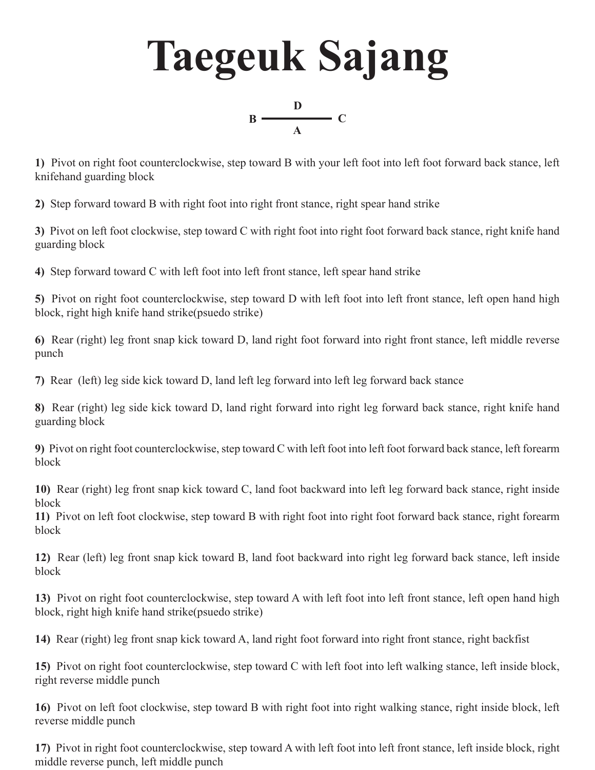## **Taegeuk Sajang**



**1)** Pivot on right foot counterclockwise, step toward B with your left foot into left foot forward back stance, left knifehand guarding block

**2)** Step forward toward B with right foot into right front stance, right spear hand strike

**3)** Pivot on left foot clockwise, step toward C with right foot into right foot forward back stance, right knife hand guarding block

**4)** Step forward toward C with left foot into left front stance, left spear hand strike

**5)** Pivot on right foot counterclockwise, step toward D with left foot into left front stance, left open hand high block, right high knife hand strike(psuedo strike)

**6)** Rear (right) leg front snap kick toward D, land right foot forward into right front stance, left middle reverse punch

**7)** Rear (left) leg side kick toward D, land left leg forward into left leg forward back stance

**8)** Rear (right) leg side kick toward D, land right forward into right leg forward back stance, right knife hand guarding block

**9)** Pivot on right foot counterclockwise, step toward C with left foot into left foot forward back stance, left forearm block

**10)** Rear (right) leg front snap kick toward C, land foot backward into left leg forward back stance, right inside block

**11)** Pivot on left foot clockwise, step toward B with right foot into right foot forward back stance, right forearm block

**12)** Rear (left) leg front snap kick toward B, land foot backward into right leg forward back stance, left inside block

**13)** Pivot on right foot counterclockwise, step toward A with left foot into left front stance, left open hand high block, right high knife hand strike(psuedo strike)

**14)** Rear (right) leg front snap kick toward A, land right foot forward into right front stance, right backfist

**15)** Pivot on right foot counterclockwise, step toward C with left foot into left walking stance, left inside block, right reverse middle punch

**16)** Pivot on left foot clockwise, step toward B with right foot into right walking stance, right inside block, left reverse middle punch

**17)** Pivot in right foot counterclockwise, step toward A with left foot into left front stance, left inside block, right middle reverse punch, left middle punch